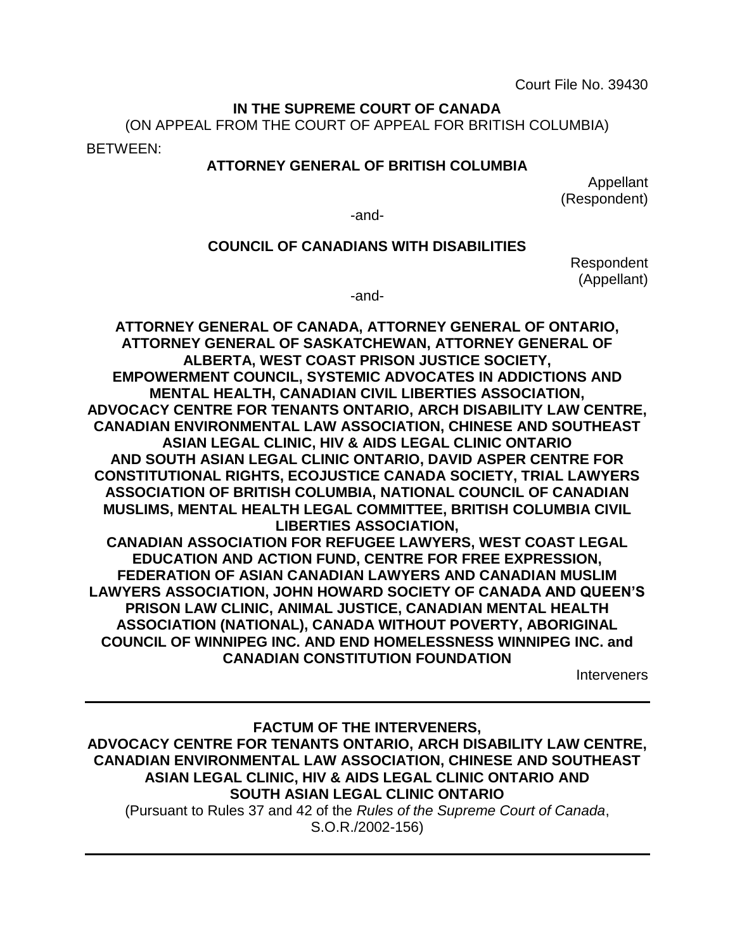Court File No. 39430

#### **IN THE SUPREME COURT OF CANADA**

(ON APPEAL FROM THE COURT OF APPEAL FOR BRITISH COLUMBIA)

BETWEEN:

#### **ATTORNEY GENERAL OF BRITISH COLUMBIA**

Appellant (Respondent)

-and-

#### **COUNCIL OF CANADIANS WITH DISABILITIES**

Respondent (Appellant)

-and-

**ATTORNEY GENERAL OF CANADA, ATTORNEY GENERAL OF ONTARIO, ATTORNEY GENERAL OF SASKATCHEWAN, ATTORNEY GENERAL OF ALBERTA, WEST COAST PRISON JUSTICE SOCIETY, EMPOWERMENT COUNCIL, SYSTEMIC ADVOCATES IN ADDICTIONS AND MENTAL HEALTH, CANADIAN CIVIL LIBERTIES ASSOCIATION, ADVOCACY CENTRE FOR TENANTS ONTARIO, ARCH DISABILITY LAW CENTRE, CANADIAN ENVIRONMENTAL LAW ASSOCIATION, CHINESE AND SOUTHEAST ASIAN LEGAL CLINIC, HIV & AIDS LEGAL CLINIC ONTARIO AND SOUTH ASIAN LEGAL CLINIC ONTARIO, DAVID ASPER CENTRE FOR CONSTITUTIONAL RIGHTS, ECOJUSTICE CANADA SOCIETY, TRIAL LAWYERS ASSOCIATION OF BRITISH COLUMBIA, NATIONAL COUNCIL OF CANADIAN MUSLIMS, MENTAL HEALTH LEGAL COMMITTEE, BRITISH COLUMBIA CIVIL LIBERTIES ASSOCIATION, CANADIAN ASSOCIATION FOR REFUGEE LAWYERS, WEST COAST LEGAL EDUCATION AND ACTION FUND, CENTRE FOR FREE EXPRESSION, FEDERATION OF ASIAN CANADIAN LAWYERS AND CANADIAN MUSLIM LAWYERS ASSOCIATION, JOHN HOWARD SOCIETY OF CANADA AND QUEEN'S PRISON LAW CLINIC, ANIMAL JUSTICE, CANADIAN MENTAL HEALTH ASSOCIATION (NATIONAL), CANADA WITHOUT POVERTY, ABORIGINAL COUNCIL OF WINNIPEG INC. AND END HOMELESSNESS WINNIPEG INC. and CANADIAN CONSTITUTION FOUNDATION**

**Interveners** 

**FACTUM OF THE INTERVENERS, ADVOCACY CENTRE FOR TENANTS ONTARIO, ARCH DISABILITY LAW CENTRE, CANADIAN ENVIRONMENTAL LAW ASSOCIATION, CHINESE AND SOUTHEAST ASIAN LEGAL CLINIC, HIV & AIDS LEGAL CLINIC ONTARIO AND SOUTH ASIAN LEGAL CLINIC ONTARIO** (Pursuant to Rules 37 and 42 of the *Rules of the Supreme Court of Canada*, S.O.R./2002-156)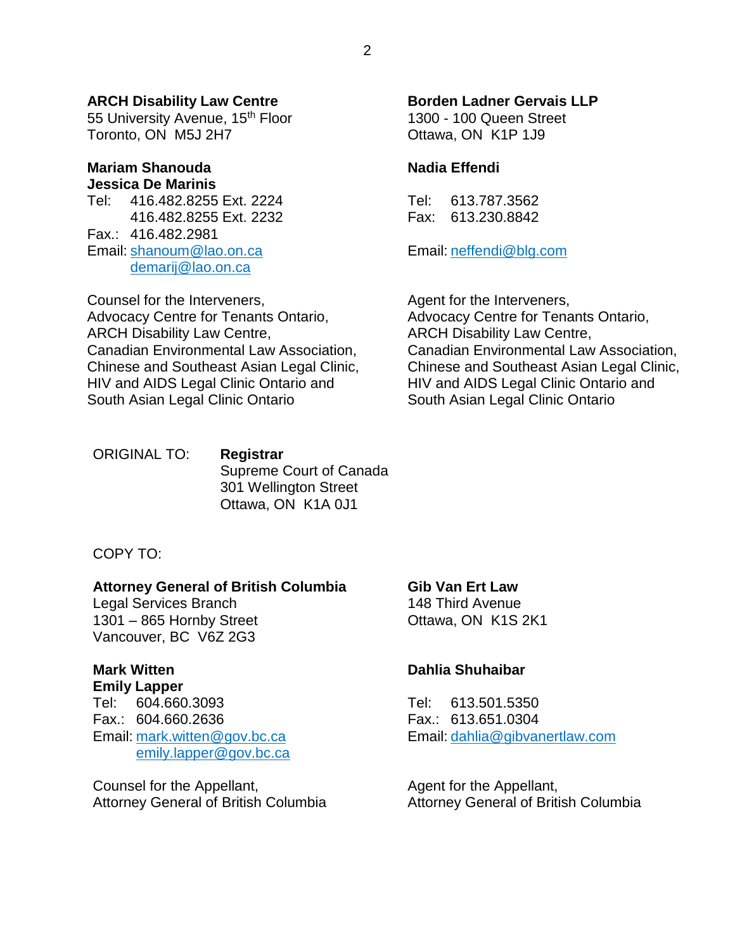#### **ARCH Disability Law Centre**

55 University Avenue, 15<sup>th</sup> Floor Toronto, ON M5J 2H7

#### **Mariam Shanouda Jessica De Marinis**

Tel: 416.482.8255 Ext. 2224 416.482.8255 Ext. 2232 Fax.: 416.482.2981 Email: [shanoum@lao.on.ca](mailto:shanoum@lao.on.ca) [demarij@lao.on.ca](mailto:demarij@lao.on.ca)

Counsel for the Interveners, Advocacy Centre for Tenants Ontario, ARCH Disability Law Centre, Canadian Environmental Law Association, Chinese and Southeast Asian Legal Clinic, HIV and AIDS Legal Clinic Ontario and South Asian Legal Clinic Ontario

ORIGINAL TO: **Registrar** Supreme Court of Canada 301 Wellington Street Ottawa, ON K1A 0J1

#### COPY TO:

#### **Attorney General of British Columbia**

Legal Services Branch 1301 – 865 Hornby Street Vancouver, BC V6Z 2G3

## **Mark Witten**

**Emily Lapper** Tel: 604.660.3093 Fax.: 604.660.2636 Email: [mark.witten@gov.bc.ca](mailto:mark.witten@gov.bc.ca) [emily.lapper@gov.bc.ca](mailto:emily.lapper@gov.bc.ca)

Counsel for the Appellant, Attorney General of British Columbia

#### **Borden Ladner Gervais LLP**

1300 - 100 Queen Street Ottawa, ON K1P 1J9

#### **Nadia Effendi**

Tel: 613.787.3562 Fax: 613.230.8842

Email: [neffendi@blg.com](mailto:neffendi@blg.com)

Agent for the Interveners, Advocacy Centre for Tenants Ontario, ARCH Disability Law Centre, Canadian Environmental Law Association, Chinese and Southeast Asian Legal Clinic, HIV and AIDS Legal Clinic Ontario and South Asian Legal Clinic Ontario

## **Gib Van Ert Law**

148 Third Avenue Ottawa, ON K1S 2K1

#### **Dahlia Shuhaibar**

Tel: 613.501.5350 Fax.: 613.651.0304 Email: [dahlia@gibvanertlaw.com](mailto:dahlia@gibvanertlaw.com)

Agent for the Appellant, Attorney General of British Columbia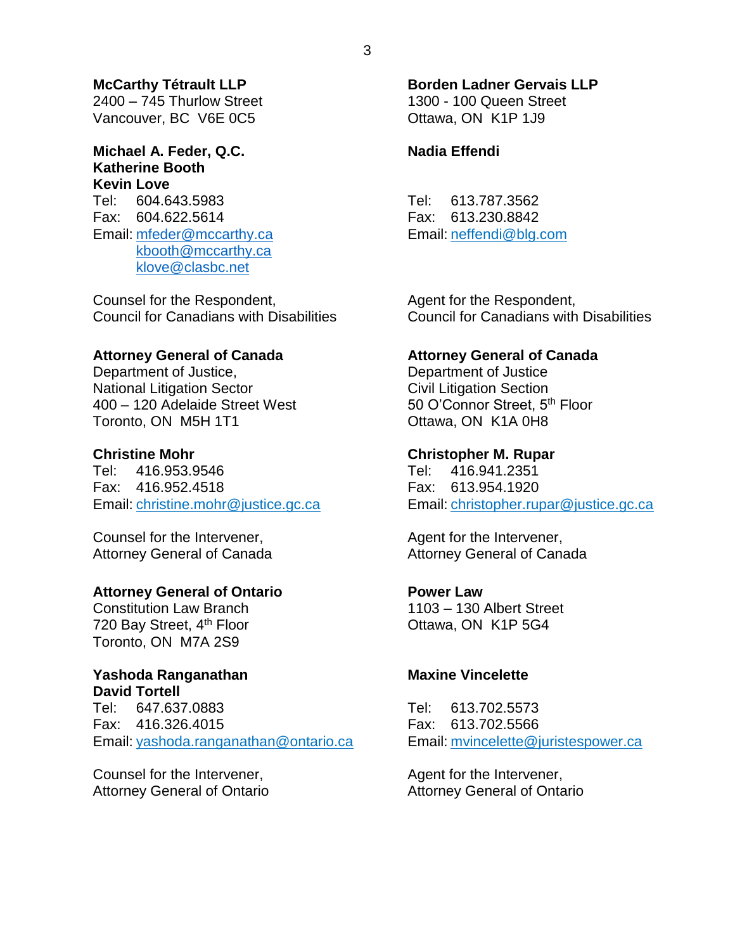#### **McCarthy Tétrault LLP**

2400 – 745 Thurlow Street Vancouver, BC V6E 0C5

#### **Michael A. Feder, Q.C. Katherine Booth Kevin Love**

Tel: 604.643.5983 Fax: 604.622.5614 Email: [mfeder@mccarthy.ca](mailto:mfeder@mccarthy.ca) [kbooth@mccarthy.ca](mailto:kbooth@mccarthy.ca) [klove@clasbc.net](mailto:klove@clasbc.net)

Counsel for the Respondent, Council for Canadians with Disabilities

#### **Attorney General of Canada**

Department of Justice, National Litigation Sector 400 – 120 Adelaide Street West Toronto, ON M5H 1T1

#### **Christine Mohr**

Tel: 416.953.9546 Fax: 416.952.4518 Email: [christine.mohr@justice.gc.ca](mailto:christine.mohr@justice.gc.ca)

Counsel for the Intervener, Attorney General of Canada

#### **Attorney General of Ontario**

Constitution Law Branch 720 Bay Street, 4<sup>th</sup> Floor Toronto, ON M7A 2S9

#### **Yashoda Ranganathan David Tortell**

Tel: 647.637.0883 Fax: 416.326.4015 Email: [yashoda.ranganathan@ontario.ca](mailto:yashoda.ranganathan@ontario.ca)

Counsel for the Intervener, Attorney General of Ontario

#### **Borden Ladner Gervais LLP** 1300 - 100 Queen Street

Ottawa, ON K1P 1J9

#### **Nadia Effendi**

Tel: 613.787.3562 Fax: 613.230.8842 Email: [neffendi@blg.com](mailto:neffendi@blg.com)

Agent for the Respondent, Council for Canadians with Disabilities

#### **Attorney General of Canada**

Department of Justice Civil Litigation Section 50 O'Connor Street, 5<sup>th</sup> Floor Ottawa, ON K1A 0H8

#### **Christopher M. Rupar**

Tel: 416.941.2351 Fax: 613.954.1920 Email: [christopher.rupar@justice.gc.ca](mailto:christopher.rupar@justice.gc.ca)

Agent for the Intervener, Attorney General of Canada

#### **Power Law**

1103 – 130 Albert Street Ottawa, ON K1P 5G4

#### **Maxine Vincelette**

Tel: 613.702.5573 Fax: 613.702.5566 Email: [mvincelette@juristespower.ca](mailto:mvincelette@juristespower.ca)

Agent for the Intervener, Attorney General of Ontario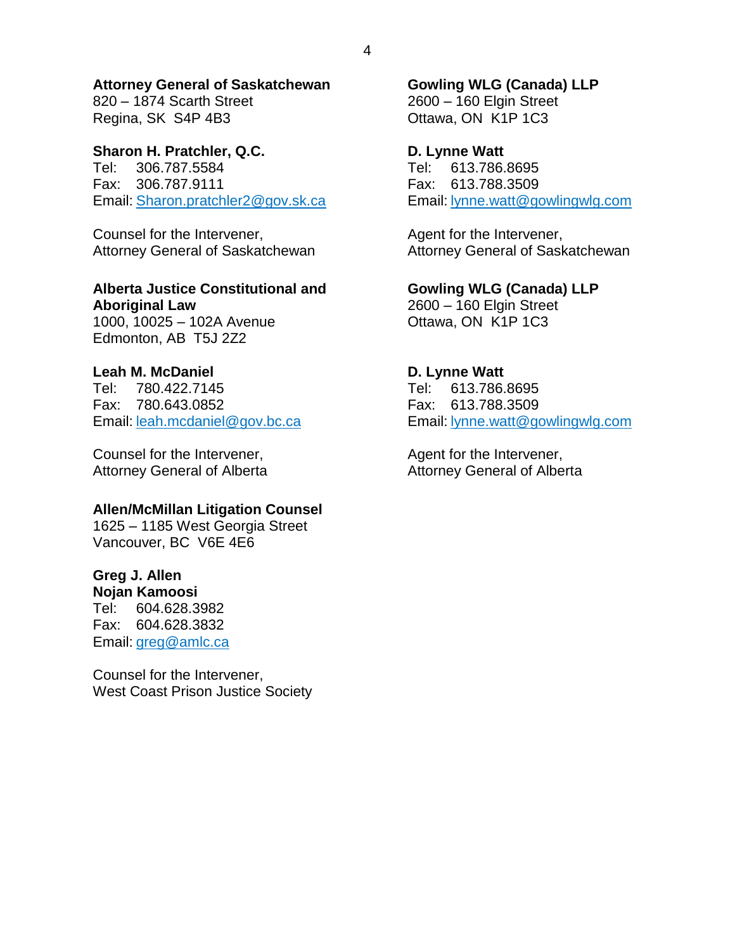#### **Attorney General of Saskatchewan**

820 – 1874 Scarth Street Regina, SK S4P 4B3

#### **Sharon H. Pratchler, Q.C.**

Tel: 306.787.5584 Fax: 306.787.9111 Email: [Sharon.pratchler2@gov.sk.ca](mailto:Sharon.pratchler2@gov.sk.ca)

Counsel for the Intervener, Attorney General of Saskatchewan

#### **Alberta Justice Constitutional and Aboriginal Law**

1000, 10025 – 102A Avenue Edmonton, AB T5J 2Z2

## **Leah M. McDaniel**

Tel: 780.422.7145 Fax: 780.643.0852 Email: [leah.mcdaniel@gov.bc.ca](mailto:leah.mcdaniel@gov.bc.ca)

Counsel for the Intervener, Attorney General of Alberta

## **Allen/McMillan Litigation Counsel**

1625 – 1185 West Georgia Street Vancouver, BC V6E 4E6

## **Greg J. Allen**

**Nojan Kamoosi** Tel: 604.628.3982 Fax: 604.628.3832 Email: [greg@amlc.ca](mailto:greg@amlc.ca)

Counsel for the Intervener, West Coast Prison Justice Society

# **Gowling WLG (Canada) LLP**

2600 – 160 Elgin Street Ottawa, ON K1P 1C3

#### **D. Lynne Watt**

Tel: 613.786.8695 Fax: 613.788.3509 Email: [lynne.watt@gowlingwlg.com](mailto:lynne.watt@gowlingwlg.com)

Agent for the Intervener, Attorney General of Saskatchewan

**Gowling WLG (Canada) LLP** 2600 – 160 Elgin Street Ottawa, ON K1P 1C3

## **D. Lynne Watt**

Tel: 613.786.8695 Fax: 613.788.3509 Email: [lynne.watt@gowlingwlg.com](mailto:lynne.watt@gowlingwlg.com)

Agent for the Intervener, Attorney General of Alberta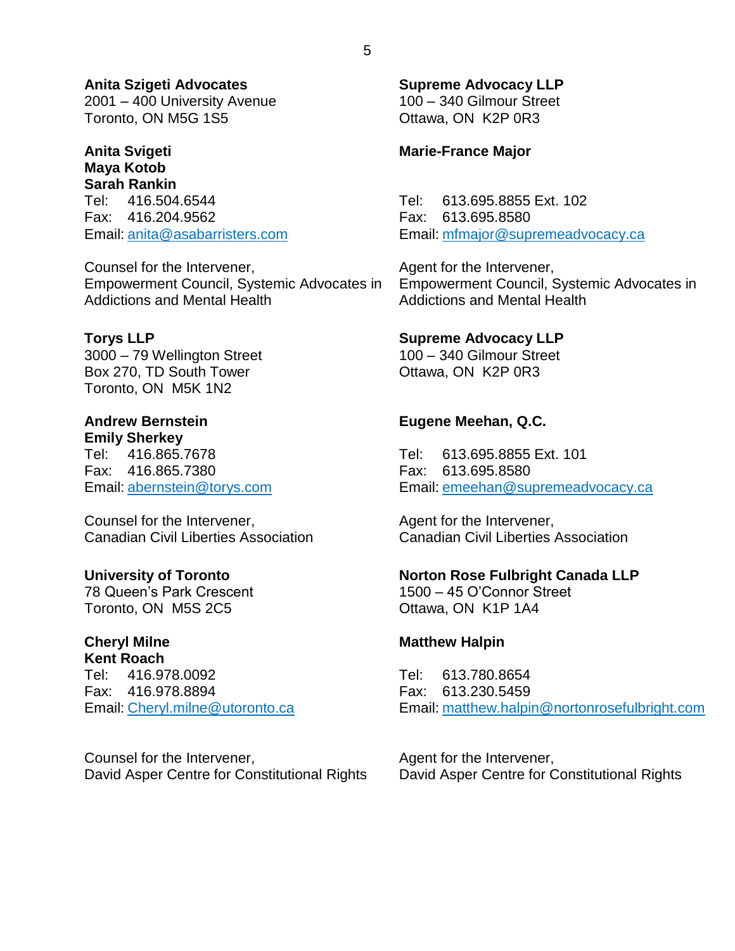**Anita Szigeti Advocates** 2001 – 400 University Avenue

Toronto, ON M5G 1S5

#### **Anita Svigeti Maya Kotob**

**Sarah Rankin** Tel: 416.504.6544 Fax: 416.204.9562 Email: [anita@asabarristers.com](mailto:anita@asabarristers.com)

Counsel for the Intervener, Empowerment Council, Systemic Advocates in Addictions and Mental Health

#### **Torys LLP**

3000 – 79 Wellington Street Box 270, TD South Tower Toronto, ON M5K 1N2

**Andrew Bernstein Emily Sherkey** Tel: 416.865.7678 Fax: 416.865.7380 Email: [abernstein@torys.com](mailto:abernstein@torys.com)

Counsel for the Intervener, Canadian Civil Liberties Association

#### **University of Toronto**

78 Queen's Park Crescent Toronto, ON M5S 2C5

#### **Cheryl Milne Kent Roach**

Tel: 416.978.0092 Fax: 416.978.8894 Email: [Cheryl.milne@utoronto.ca](mailto:Cheryl.milne@utoronto.ca)

Counsel for the Intervener, David Asper Centre for Constitutional Rights **Supreme Advocacy LLP** 100 – 340 Gilmour Street Ottawa, ON K2P 0R3

#### **Marie-France Major**

Tel: 613.695.8855 Ext. 102 Fax: 613.695.8580 Email: [mfmajor@supremeadvocacy.ca](mailto:mfmajor@supremeadvocacy.ca)

Agent for the Intervener, Empowerment Council, Systemic Advocates in Addictions and Mental Health

#### **Supreme Advocacy LLP**

100 – 340 Gilmour Street Ottawa, ON K2P 0R3

## **Eugene Meehan, Q.C.**

Tel: 613.695.8855 Ext. 101 Fax: 613.695.8580 Email: [emeehan@supremeadvocacy.ca](mailto:emeehan@supremeadvocacy.ca)

Agent for the Intervener, Canadian Civil Liberties Association

#### **Norton Rose Fulbright Canada LLP**

1500 – 45 O'Connor Street Ottawa, ON K1P 1A4

#### **Matthew Halpin**

Tel: 613.780.8654 Fax: 613.230.5459 Email: [matthew.halpin@nortonrosefulbright.com](mailto:matthew.halpin@nortonrosefulbright.com)

Agent for the Intervener, David Asper Centre for Constitutional Rights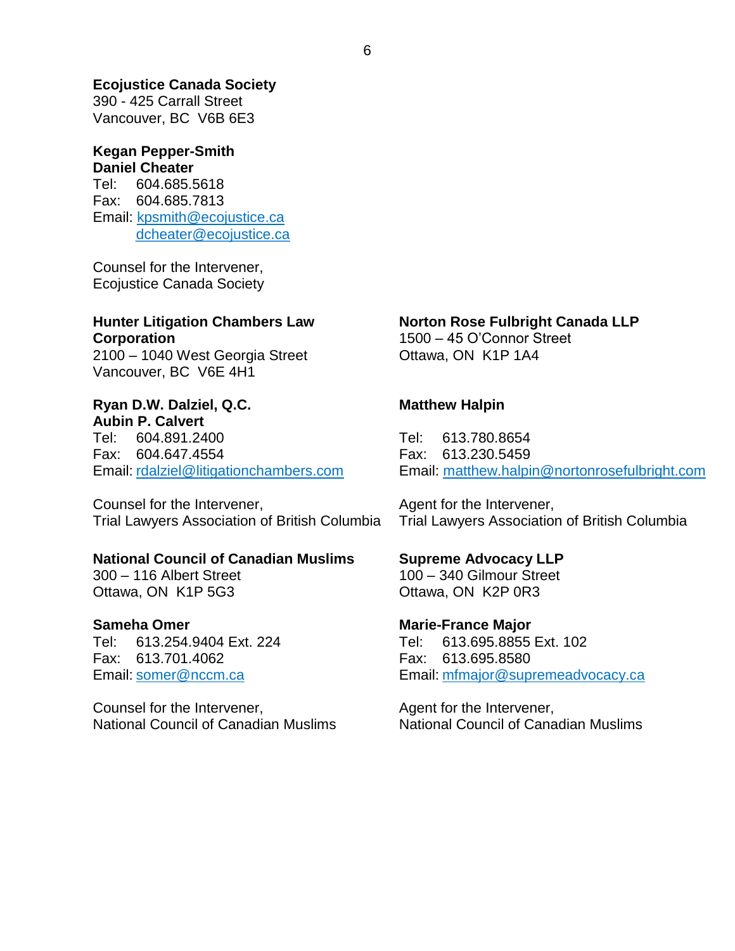#### **Ecojustice Canada Society**

390 - 425 Carrall Street Vancouver, BC V6B 6E3

#### **Kegan Pepper-Smith Daniel Cheater**

Tel: 604.685.5618 Fax: 604.685.7813 Email: [kpsmith@ecojustice.ca](mailto:kpsmith@ecojustice.ca) dcheater@ecojustice.ca

Counsel for the Intervener, Ecojustice Canada Society

## **Hunter Litigation Chambers Law Corporation**

2100 – 1040 West Georgia Street Vancouver, BC V6E 4H1

#### **Ryan D.W. Dalziel, Q.C. Aubin P. Calvert**

Tel: 604.891.2400 Fax: 604.647.4554 Email: [rdalziel@litigationchambers.com](mailto:rdalziel@litigationchambers.com)

Counsel for the Intervener, Trial Lawyers Association of British Columbia

#### **National Council of Canadian Muslims**

300 – 116 Albert Street Ottawa, ON K1P 5G3

#### **Sameha Omer**

Tel: 613.254.9404 Ext. 224 Fax: 613.701.4062 Email: [somer@nccm.ca](mailto:somer@nccm.ca)

Counsel for the Intervener, National Council of Canadian Muslims

## **Norton Rose Fulbright Canada LLP**

1500 – 45 O'Connor Street Ottawa, ON K1P 1A4

#### **Matthew Halpin**

Tel: 613.780.8654 Fax: 613.230.5459 Email: [matthew.halpin@nortonrosefulbright.com](mailto:matthew.halpin@nortonrosefulbright.com)

Agent for the Intervener, Trial Lawyers Association of British Columbia

#### **Supreme Advocacy LLP** 100 – 340 Gilmour Street Ottawa, ON K2P 0R3

**Marie-France Major** Tel: 613.695.8855 Ext. 102 Fax: 613.695.8580 Email: [mfmajor@supremeadvocacy.ca](mailto:mfmajor@supremeadvocacy.ca)

Agent for the Intervener, National Council of Canadian Muslims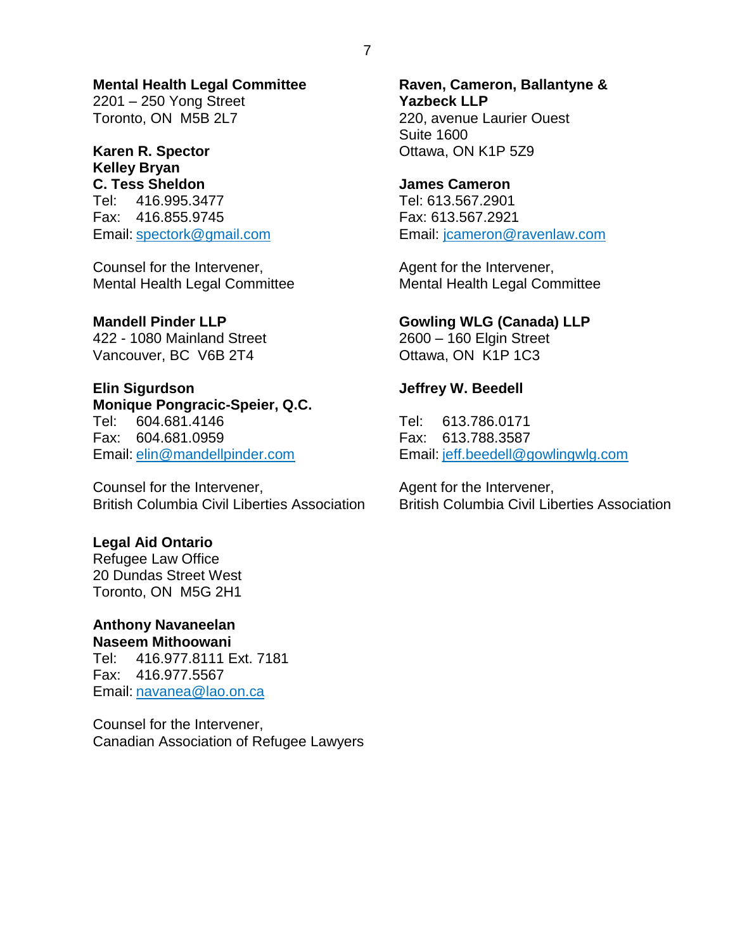**Mental Health Legal Committee** 2201 – 250 Yong Street Toronto, ON M5B 2L7

**Karen R. Spector**

**Kelley Bryan C. Tess Sheldon** Tel: 416.995.3477 Fax: 416.855.9745 Email: [spectork@gmail.com](mailto:spectork@gmail.com)

Counsel for the Intervener, Mental Health Legal Committee

#### **Mandell Pinder LLP**

422 - 1080 Mainland Street Vancouver, BC V6B 2T4

**Elin Sigurdson Monique Pongracic-Speier, Q.C.** Tel: 604.681.4146 Fax: 604.681.0959 Email: [elin@mandellpinder.com](mailto:elin@mandellpinder.com)

Counsel for the Intervener, British Columbia Civil Liberties Association

#### **Legal Aid Ontario**

Refugee Law Office 20 Dundas Street West Toronto, ON M5G 2H1

#### **Anthony Navaneelan Naseem Mithoowani**

Tel: 416.977.8111 Ext. 7181 Fax: 416.977.5567 Email: [navanea@lao.on.ca](mailto:naveen@lao.on.ca)

Counsel for the Intervener, Canadian Association of Refugee Lawyers

**Raven, Cameron, Ballantyne & Yazbeck LLP** 220, avenue Laurier Ouest Suite 1600 Ottawa, ON K1P 5Z9

**James Cameron** Tel: 613.567.2901 Fax: 613.567.2921 Email: [jcameron@ravenlaw.com](mailto:jcameron@ravenlaw.com)

Agent for the Intervener, Mental Health Legal Committee

#### **Gowling WLG (Canada) LLP**

2600 – 160 Elgin Street Ottawa, ON K1P 1C3

## **Jeffrey W. Beedell**

Tel: 613.786.0171 Fax: 613.788.3587 Email: [jeff.beedell@gowlingwlg.com](mailto:jeff.beedell@gowlingwlg.com)

Agent for the Intervener, British Columbia Civil Liberties Association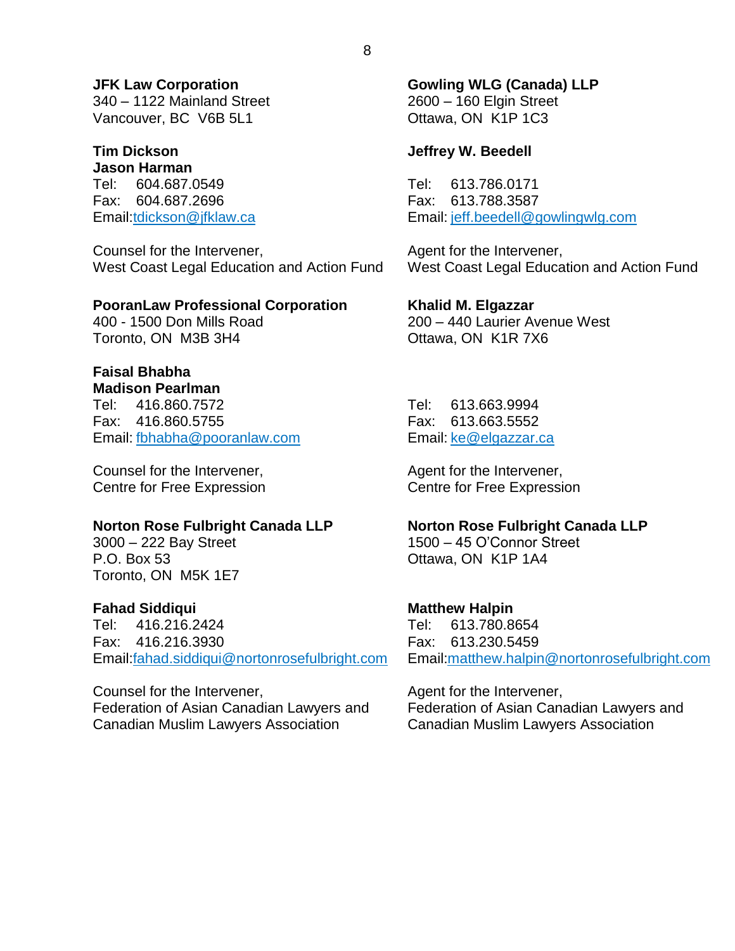**JFK Law Corporation** 340 – 1122 Mainland Street Vancouver, BC V6B 5L1

**Tim Dickson Jason Harman** Tel: 604.687.0549 Fax: 604.687.2696 Email[:tdickson@jfklaw.ca](mailto:tdickson@jfklaw.ca)

Counsel for the Intervener, West Coast Legal Education and Action Fund

#### **PooranLaw Professional Corporation**

400 - 1500 Don Mills Road Toronto, ON M3B 3H4

## **Faisal Bhabha**

**Madison Pearlman** Tel: 416.860.7572 Fax: 416.860.5755 Email: [fbhabha@pooranlaw.com](mailto:fbhabha@pooranlaw.com)

Counsel for the Intervener, Centre for Free Expression

#### **Norton Rose Fulbright Canada LLP**

3000 – 222 Bay Street P.O. Box 53 Toronto, ON M5K 1E7

## **Fahad Siddiqui**

Tel: 416.216.2424 Fax: 416.216.3930 Email[:fahad.siddiqui@nortonrosefulbright.com](mailto:fahad.siddiqui@nortonrosefulbright.com)

Counsel for the Intervener, Federation of Asian Canadian Lawyers and Canadian Muslim Lawyers Association

**Gowling WLG (Canada) LLP** 2600 – 160 Elgin Street Ottawa, ON K1P 1C3

#### **Jeffrey W. Beedell**

Tel: 613.786.0171 Fax: 613.788.3587 Email: [jeff.beedell@gowlingwlg.com](mailto:jeff.beedell@gowlingwlg.com)

Agent for the Intervener, West Coast Legal Education and Action Fund

**Khalid M. Elgazzar** 200 – 440 Laurier Avenue West Ottawa, ON K1R 7X6

Tel: 613.663.9994 Fax: 613.663.5552 Email: [ke@elgazzar.ca](mailto:ke@elgazzar.ca)

Agent for the Intervener, Centre for Free Expression

#### **Norton Rose Fulbright Canada LLP**

1500 – 45 O'Connor Street Ottawa, ON K1P 1A4

#### **Matthew Halpin**

Tel: 613.780.8654 Fax: 613.230.5459 Email[:matthew.halpin@nortonrosefulbright.com](mailto:matthew.halpin@nortonrosefulbright.com)

Agent for the Intervener, Federation of Asian Canadian Lawyers and Canadian Muslim Lawyers Association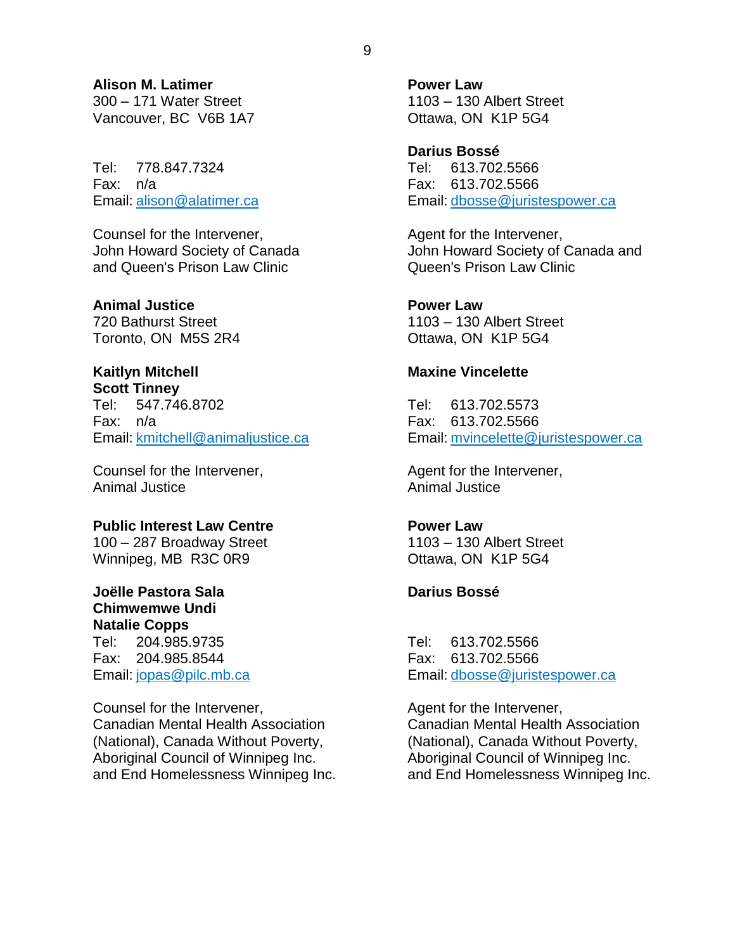**Alison M. Latimer**

300 – 171 Water Street Vancouver, BC V6B 1A7

Tel: 778.847.7324 Fax: n/a Email: [alison@alatimer.ca](mailto:alison@alatimer.ca)

Counsel for the Intervener, John Howard Society of Canada and Queen's Prison Law Clinic

**Animal Justice**

720 Bathurst Street Toronto, ON M5S 2R4

## **Kaitlyn Mitchell**

**Scott Tinney** Tel: 547.746.8702 Fax: n/a Email: [kmitchell@animaljustice.ca](mailto:kmitchell@animaljustice.ca)

Counsel for the Intervener, Animal Justice

## **Public Interest Law Centre**

100 – 287 Broadway Street Winnipeg, MB R3C 0R9

#### **Joëlle Pastora Sala Chimwemwe Undi Natalie Copps**

Tel: 204.985.9735 Fax: 204.985.8544 Email: [jopas@pilc.mb.ca](mailto:jopas@pilc.mb.ca)

Counsel for the Intervener, Canadian Mental Health Association (National), Canada Without Poverty, Aboriginal Council of Winnipeg Inc. and End Homelessness Winnipeg Inc. **Power Law** 1103 – 130 Albert Street Ottawa, ON K1P 5G4

**Darius Bossé** Tel: 613.702.5566 Fax: 613.702.5566 Email: [dbosse@juristespower.ca](mailto:dbosse@juristespower.ca)

Agent for the Intervener, John Howard Society of Canada and Queen's Prison Law Clinic

**Power Law** 1103 – 130 Albert Street Ottawa, ON K1P 5G4

## **Maxine Vincelette**

Tel: 613.702.5573 Fax: 613.702.5566 Email: [mvincelette@juristespower.ca](mailto:mvincelette@juristespower.ca)

Agent for the Intervener, Animal Justice

## **Power Law**

1103 – 130 Albert Street Ottawa, ON K1P 5G4

## **Darius Bossé**

Tel: 613.702.5566 Fax: 613.702.5566 Email: [dbosse@juristespower.ca](mailto:dbosse@juristespower.ca)

Agent for the Intervener, Canadian Mental Health Association (National), Canada Without Poverty, Aboriginal Council of Winnipeg Inc. and End Homelessness Winnipeg Inc.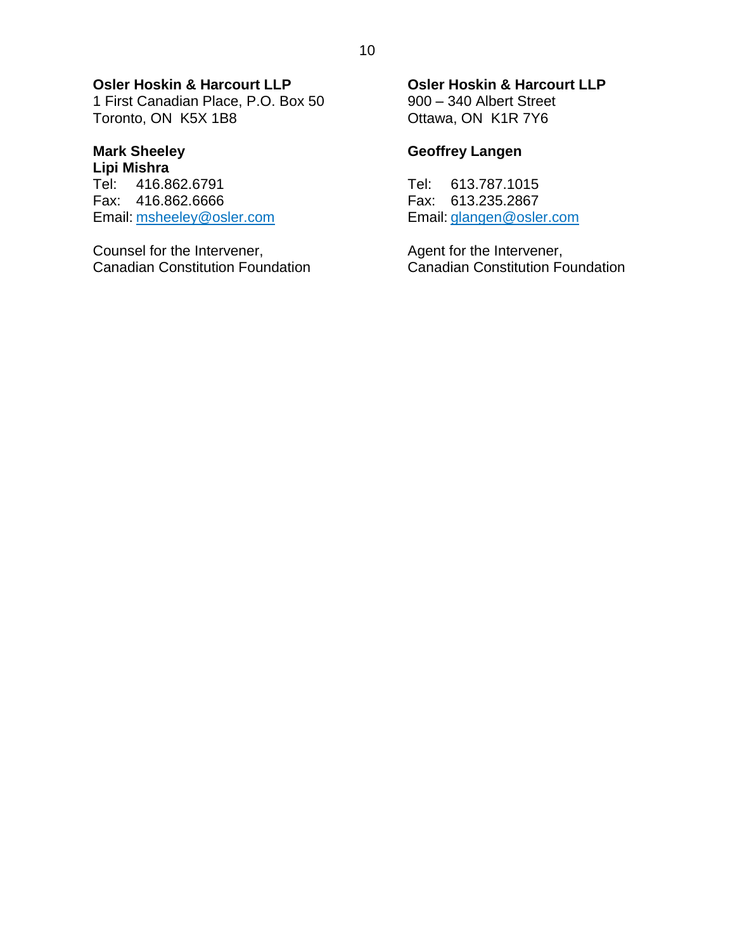## **Osler Hoskin & Harcourt LLP**

1 First Canadian Place, P.O. Box 50 Toronto, ON K5X 1B8

#### **Mark Sheeley Lipi Mishra**

Tel: 416.862.6791 Fax: 416.862.6666 Email: [msheeley@osler.com](mailto:msheeley@osler.com)

Counsel for the Intervener, Canadian Constitution Foundation

#### **Osler Hoskin & Harcourt LLP**

900 – 340 Albert Street Ottawa, ON K1R 7Y6

## **Geoffrey Langen**

Tel: 613.787.1015 Fax: 613.235.2867 Email: [glangen@osler.com](mailto:glangen@osler.com)

Agent for the Intervener, Canadian Constitution Foundation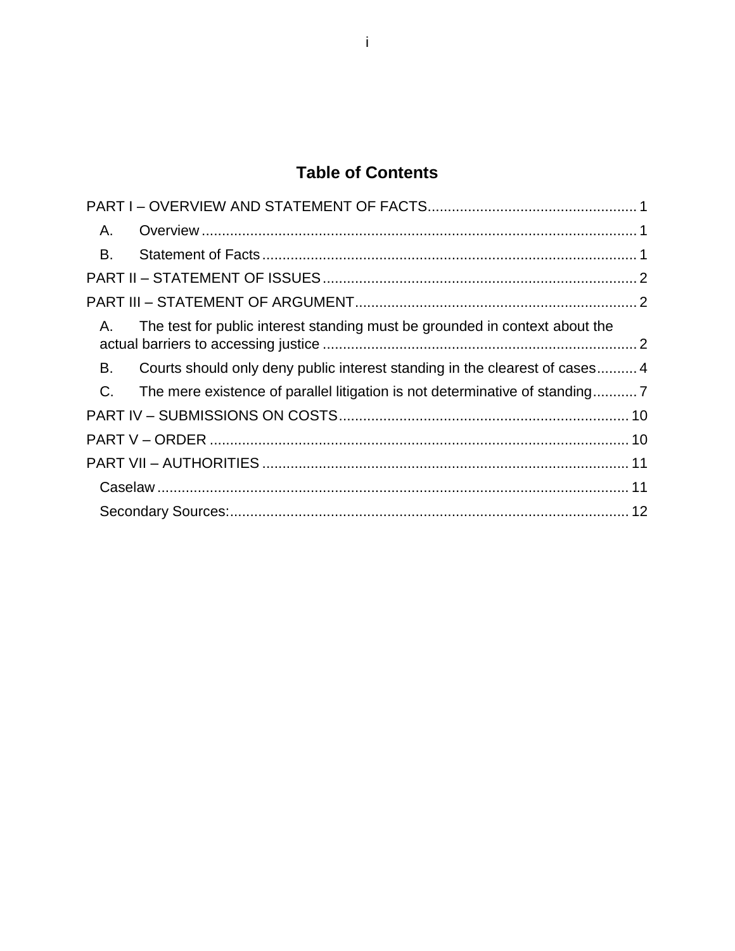## **Table of Contents**

| Α.    |                                                                              |  |
|-------|------------------------------------------------------------------------------|--|
| B.    |                                                                              |  |
|       |                                                                              |  |
|       |                                                                              |  |
| Α.    | The test for public interest standing must be grounded in context about the  |  |
| В.    | Courts should only deny public interest standing in the clearest of cases4   |  |
| $C$ . | The mere existence of parallel litigation is not determinative of standing 7 |  |
|       |                                                                              |  |
|       |                                                                              |  |
|       |                                                                              |  |
|       |                                                                              |  |
|       |                                                                              |  |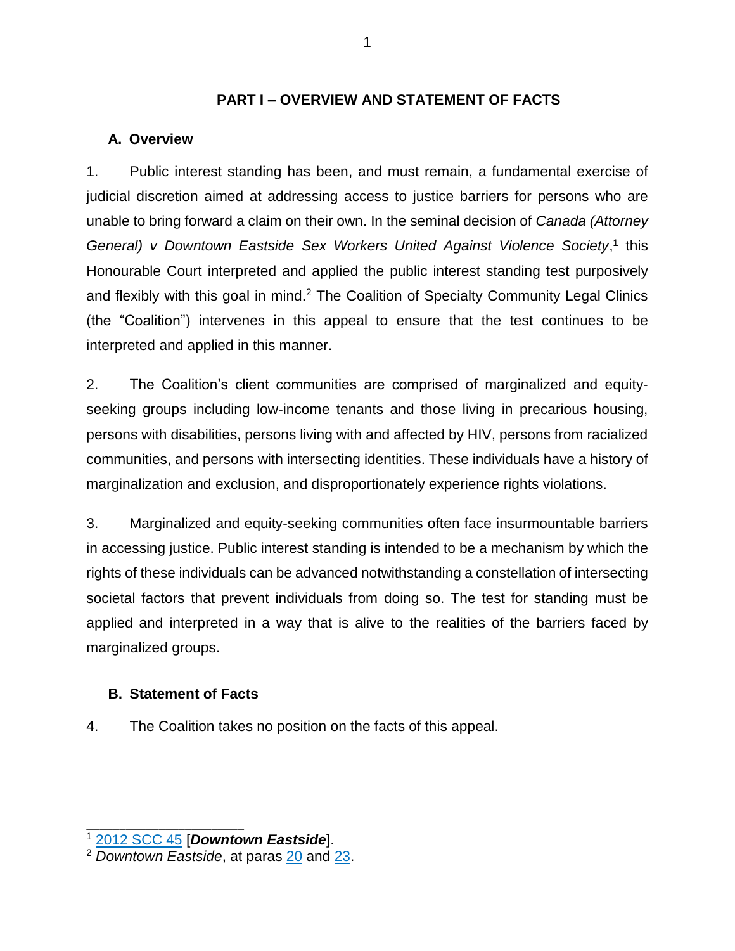## **PART I – OVERVIEW AND STATEMENT OF FACTS**

## <span id="page-11-1"></span><span id="page-11-0"></span>**A. Overview**

1. Public interest standing has been, and must remain, a fundamental exercise of judicial discretion aimed at addressing access to justice barriers for persons who are unable to bring forward a claim on their own. In the seminal decision of *Canada (Attorney General) v Downtown Eastside Sex Workers United Against Violence Society*, 1 this Honourable Court interpreted and applied the public interest standing test purposively and flexibly with this goal in mind.<sup>2</sup> The Coalition of Specialty Community Legal Clinics (the "Coalition") intervenes in this appeal to ensure that the test continues to be interpreted and applied in this manner.

2. The Coalition's client communities are comprised of marginalized and equityseeking groups including low-income tenants and those living in precarious housing, persons with disabilities, persons living with and affected by HIV, persons from racialized communities, and persons with intersecting identities. These individuals have a history of marginalization and exclusion, and disproportionately experience rights violations.

3. Marginalized and equity-seeking communities often face insurmountable barriers in accessing justice. Public interest standing is intended to be a mechanism by which the rights of these individuals can be advanced notwithstanding a constellation of intersecting societal factors that prevent individuals from doing so. The test for standing must be applied and interpreted in a way that is alive to the realities of the barriers faced by marginalized groups.

## <span id="page-11-2"></span>**B. Statement of Facts**

\_\_\_\_\_\_\_\_\_\_\_\_\_\_\_\_\_\_\_\_\_\_\_\_

4. The Coalition takes no position on the facts of this appeal.

<sup>1</sup> [2012 SCC 45](https://www.canlii.org/en/ca/scc/doc/2012/2012scc45/2012scc45.html?autocompleteStr=2012%20scc%2045&autocompletePos=1) [*Downtown Eastside*].

<sup>2</sup> *Downtown Eastside*, at paras [20](https://canlii.ca/t/fss7s#par20) and [23.](https://canlii.ca/t/fss7s#par23)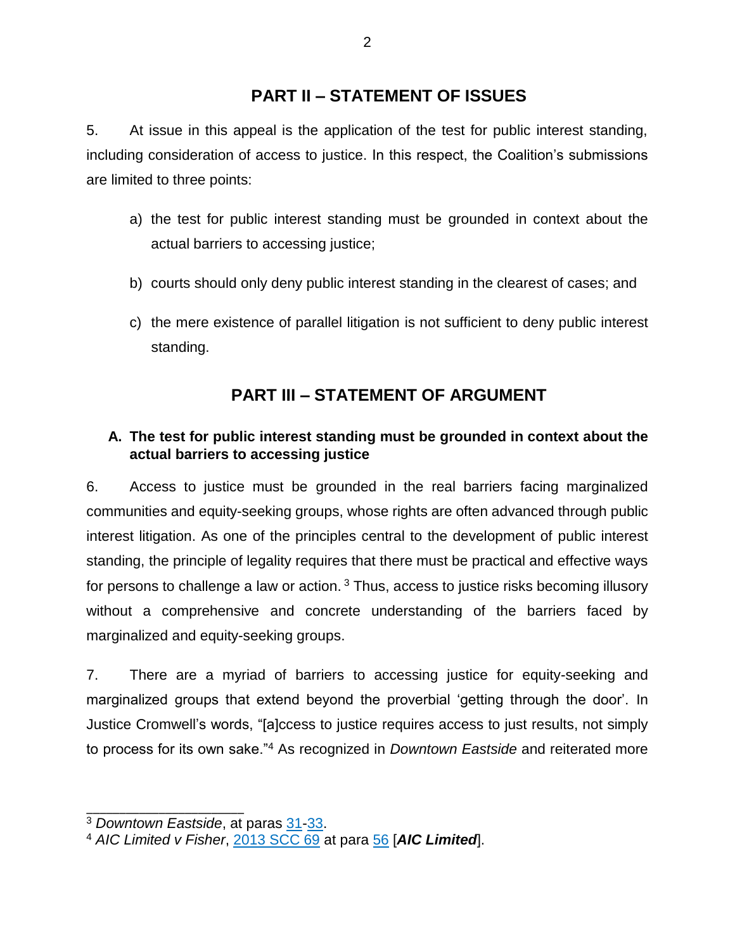## **PART II – STATEMENT OF ISSUES**

<span id="page-12-0"></span>5. At issue in this appeal is the application of the test for public interest standing, including consideration of access to justice. In this respect, the Coalition's submissions are limited to three points:

- a) the test for public interest standing must be grounded in context about the actual barriers to accessing justice;
- b) courts should only deny public interest standing in the clearest of cases; and
- c) the mere existence of parallel litigation is not sufficient to deny public interest standing.

## **PART III – STATEMENT OF ARGUMENT**

## <span id="page-12-2"></span><span id="page-12-1"></span>**A. The test for public interest standing must be grounded in context about the actual barriers to accessing justice**

6. Access to justice must be grounded in the real barriers facing marginalized communities and equity-seeking groups, whose rights are often advanced through public interest litigation. As one of the principles central to the development of public interest standing, the principle of legality requires that there must be practical and effective ways for persons to challenge a law or action.<sup>3</sup> Thus, access to justice risks becoming illusory without a comprehensive and concrete understanding of the barriers faced by marginalized and equity-seeking groups.

7. There are a myriad of barriers to accessing justice for equity-seeking and marginalized groups that extend beyond the proverbial 'getting through the door'. In Justice Cromwell's words, "[a]ccess to justice requires access to just results, not simply to process for its own sake."<sup>4</sup> As recognized in *Downtown Eastside* and reiterated more

<sup>3</sup> *Downtown Eastside*, at paras [31](https://canlii.ca/t/fss7s#par31)[-33.](https://canlii.ca/t/fss7s#par33)

<sup>4</sup> *AIC Limited v Fisher*, [2013 SCC 69](https://www.canlii.org/en/ca/scc/doc/2013/2013scc69/2013scc69.html#par56) at para [56](https://canlii.ca/t/g2bhl#par56) [*AIC Limited*].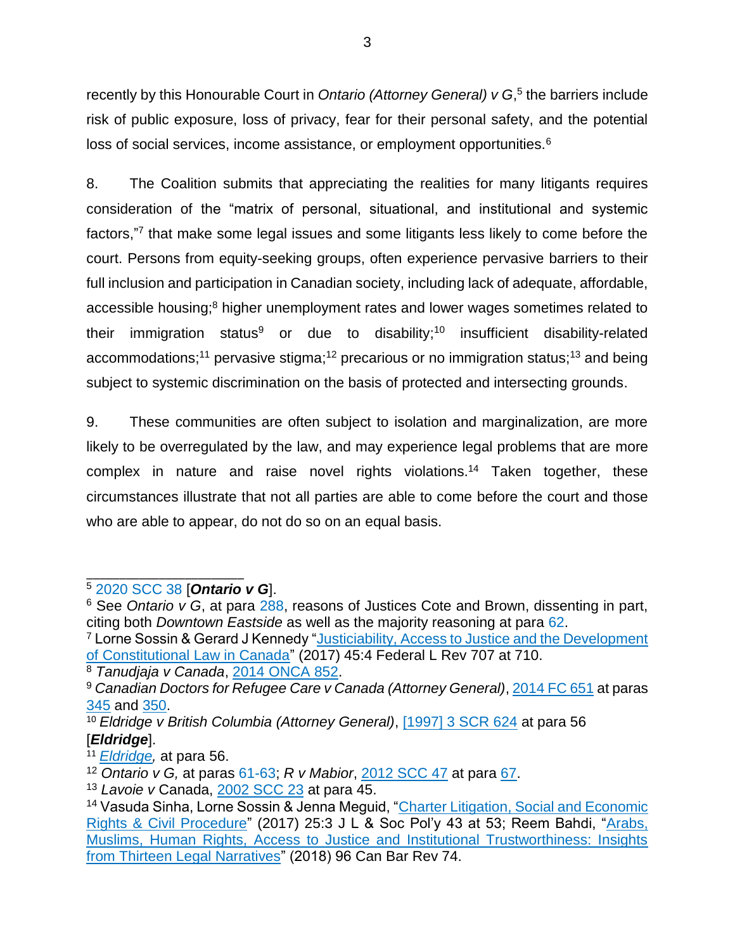recently by this Honourable Court in *Ontario (Attorney General) v G*,<sup>5</sup> the barriers include risk of public exposure, loss of privacy, fear for their personal safety, and the potential loss of social services, income assistance, or employment opportunities.<sup>6</sup>

8. The Coalition submits that appreciating the realities for many litigants requires consideration of the "matrix of personal, situational, and institutional and systemic factors,"7 that make some legal issues and some litigants less likely to come before the court. Persons from equity-seeking groups, often experience pervasive barriers to their full inclusion and participation in Canadian society, including lack of adequate, affordable, accessible housing;<sup>8</sup> higher unemployment rates and lower wages sometimes related to their immigration status<sup>9</sup> or due to disability;<sup>10</sup> insufficient disability-related accommodations;<sup>11</sup> pervasive stigma;<sup>12</sup> precarious or no immigration status;<sup>13</sup> and being subject to systemic discrimination on the basis of protected and intersecting grounds.

9. These communities are often subject to isolation and marginalization, are more likely to be overregulated by the law, and may experience legal problems that are more complex in nature and raise novel rights violations.<sup>14</sup> Taken together, these circumstances illustrate that not all parties are able to come before the court and those who are able to appear, do not do so on an equal basis.

\_\_\_\_\_\_\_\_\_\_\_\_\_\_\_\_\_\_\_\_\_\_\_\_ <sup>5</sup> [2020 SCC 38](https://www.canlii.org/en/ca/scc/doc/2020/2020scc38/2020scc38.html) [*Ontario v G*].

<sup>&</sup>lt;sup>6</sup> See *Ontario v G*, at para [288,](https://canlii.ca/t/jbpb4#par288) reasons of Justices Cote and Brown, dissenting in part, citing both *Downtown Eastside* as well as the majority reasoning at para [62.](https://canlii.ca/t/jbpb4#par62)

<sup>&</sup>lt;sup>7</sup> Lorne Sossin & Gerard J Kennedy "Justiciability, Access to Justice and the Development [of Constitutional Law in Canada"](https://digitalcommons.osgoode.yorku.ca/cgi/viewcontent.cgi?article=3670&context=scholarly_works) (2017) 45:4 Federal L Rev 707 at 710.

<sup>8</sup> *Tanudjaja v Canada*, [2014 ONCA 852.](https://www.canlii.org/en/on/onca/doc/2014/2014onca852/2014onca852.html?autocompleteStr=2014%20ONCA%20852&autocompletePos=1)

<sup>9</sup> *Canadian Doctors for Refugee Care v Canada (Attorney General)*, [2014 FC 651](https://www.canlii.org/en/ca/fct/doc/2014/2014fc651/2014fc651.html) at paras [345](https://canlii.ca/t/g81sg#par345) and [350.](https://canlii.ca/t/g81sg#par350)

<sup>10</sup> *Eldridge v British Columbia (Attorney General)*, [\[1997\] 3 SCR 624](https://www.canlii.org/en/ca/scc/doc/1997/1997canlii327/1997canlii327.html?autocompleteStr=eldridge&autocompletePos=1) at para 56 [*Eldridge*].

<sup>11</sup> *[Eldridge,](https://www.canlii.org/en/ca/scc/doc/1997/1997canlii327/1997canlii327.html?autocompleteStr=eldridge&autocompletePos=1)* at para 56.

<sup>12</sup> *Ontario v G,* at paras [61-63;](https://canlii.ca/t/jbpb4#par61) *R v Mabior*, [2012 SCC 47](https://www.canlii.org/en/ca/scc/doc/2012/2012scc47/2012scc47.html?resultIndex=1&framed=false) at para [67.](https://canlii.ca/t/ft1pq#par67)

<sup>13</sup> *Lavoie v* Canada, [2002 SCC 23](https://www.canlii.org/en/ca/scc/doc/2002/2002scc23/2002scc23.html#par45) at para 45.

<sup>&</sup>lt;sup>14</sup> Vasuda Sinha, Lorne Sossin & Jenna Mequid, "Charter Litigation, Social and Economic [Rights & Civil Procedure"](https://digitalcommons.osgoode.yorku.ca/cgi/viewcontent.cgi?article=1255&context=jlsp) (2017) 25:3 J L & Soc Pol'y 43 at 53; Reem Bahdi, "Arabs, [Muslims, Human Rights, Access to Justice and Institutional Trustworthiness: Insights](https://www.canlii.org/en/commentary/doc/2018CanLIIDocs132?zoupio-debug&framed=false#!fragment//(hash:(chunk:(anchorText:)  [from Thirteen Legal Narratives"](https://www.canlii.org/en/commentary/doc/2018CanLIIDocs132?zoupio-debug&framed=false#!fragment//(hash:(chunk:(anchorText:) (2018) 96 Can Bar Rev 74.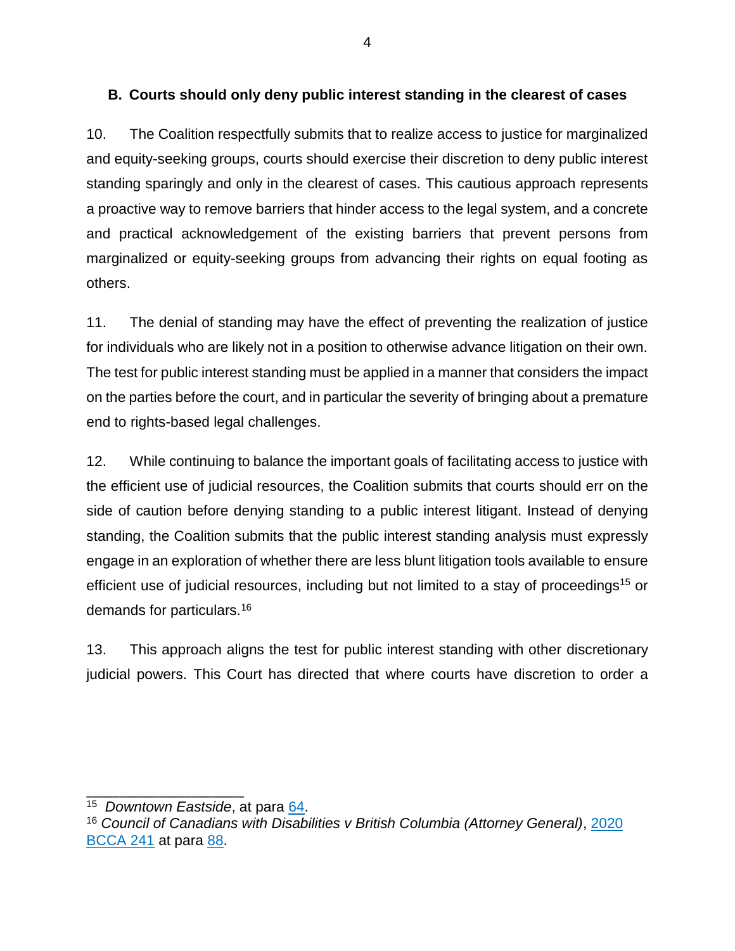## <span id="page-14-0"></span>**B. Courts should only deny public interest standing in the clearest of cases**

10. The Coalition respectfully submits that to realize access to justice for marginalized and equity-seeking groups, courts should exercise their discretion to deny public interest standing sparingly and only in the clearest of cases. This cautious approach represents a proactive way to remove barriers that hinder access to the legal system, and a concrete and practical acknowledgement of the existing barriers that prevent persons from marginalized or equity-seeking groups from advancing their rights on equal footing as others.

11. The denial of standing may have the effect of preventing the realization of justice for individuals who are likely not in a position to otherwise advance litigation on their own. The test for public interest standing must be applied in a manner that considers the impact on the parties before the court, and in particular the severity of bringing about a premature end to rights-based legal challenges.

12. While continuing to balance the important goals of facilitating access to justice with the efficient use of judicial resources, the Coalition submits that courts should err on the side of caution before denying standing to a public interest litigant. Instead of denying standing, the Coalition submits that the public interest standing analysis must expressly engage in an exploration of whether there are less blunt litigation tools available to ensure efficient use of judicial resources, including but not limited to a stay of proceedings<sup>15</sup> or demands for particulars.<sup>16</sup>

13. This approach aligns the test for public interest standing with other discretionary judicial powers. This Court has directed that where courts have discretion to order a

<sup>&</sup>lt;sup>15</sup> Downtown Eastside, at para [64.](https://canlii.ca/t/fss7s#par64)

<sup>16</sup> *Council of Canadians with Disabilities v British Columbia (Attorney General)*, [2020](https://www.canlii.org/en/bc/bcca/doc/2020/2020bcca241/2020bcca241.html?searchUrlHash=AAAAAQAYY2NkIGFuZCBhdHRvcm5leSBnZW5lcmFsAAAAAAE&resultIndex=1&framed=false)  [BCCA 241](https://www.canlii.org/en/bc/bcca/doc/2020/2020bcca241/2020bcca241.html?searchUrlHash=AAAAAQAYY2NkIGFuZCBhdHRvcm5leSBnZW5lcmFsAAAAAAE&resultIndex=1&framed=false) at para [88.](https://canlii.ca/t/j9c0x#par88)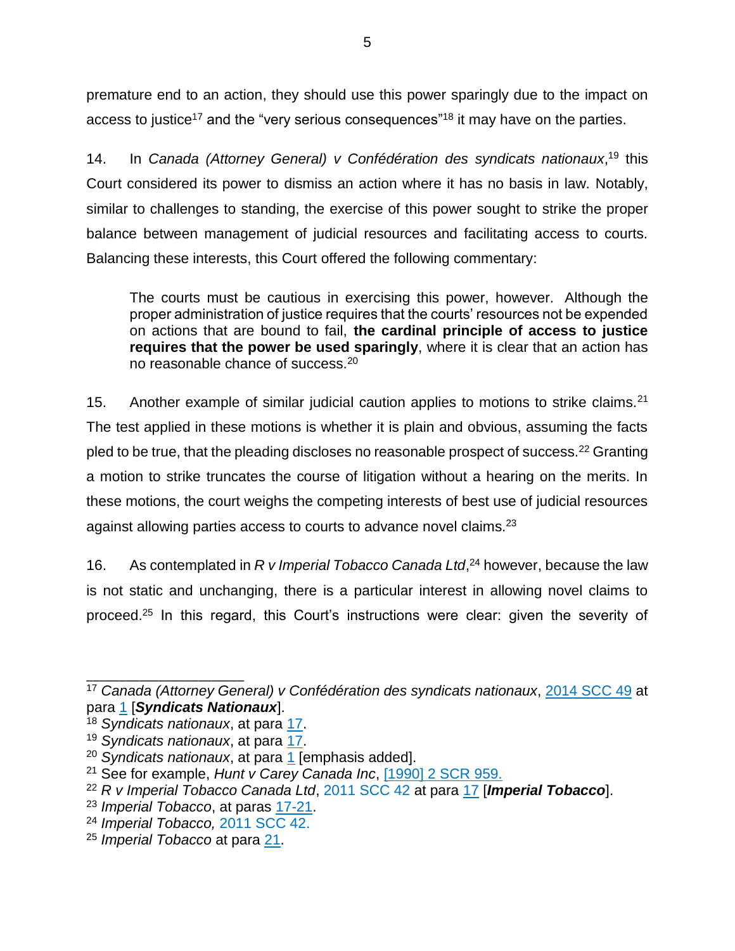premature end to an action, they should use this power sparingly due to the impact on access to justice<sup>17</sup> and the "very serious consequences"<sup>18</sup> it may have on the parties.

14. In *Canada (Attorney General) v Confédération des syndicats nationaux*, <sup>19</sup> this Court considered its power to dismiss an action where it has no basis in law. Notably, similar to challenges to standing, the exercise of this power sought to strike the proper balance between management of judicial resources and facilitating access to courts. Balancing these interests, this Court offered the following commentary:

The courts must be cautious in exercising this power, however. Although the proper administration of justice requires that the courts' resources not be expended on actions that are bound to fail, **the cardinal principle of access to justice requires that the power be used sparingly**, where it is clear that an action has no reasonable chance of success.<sup>20</sup>

15. Another example of similar judicial caution applies to motions to strike claims.<sup>21</sup> The test applied in these motions is whether it is plain and obvious, assuming the facts pled to be true, that the pleading discloses no reasonable prospect of success.<sup>22</sup> Granting a motion to strike truncates the course of litigation without a hearing on the merits. In these motions, the court weighs the competing interests of best use of judicial resources against allowing parties access to courts to advance novel claims.<sup>23</sup>

16. As contemplated in *R v Imperial Tobacco Canada Ltd*, <sup>24</sup> however, because the law is not static and unchanging, there is a particular interest in allowing novel claims to proceed.<sup>25</sup> In this regard, this Court's instructions were clear: given the severity of

<sup>17</sup> *Canada (Attorney General) v Confédération des syndicats nationaux*, [2014 SCC 49](https://www.canlii.org/en/ca/scc/doc/2014/2014scc49/2014scc49.html?autocompleteStr=2014%20SCC%2049%20&autocompletePos=1) at para [1](https://canlii.ca/t/g82p5#par1) [*Syndicats Nationaux*].

<sup>18</sup> *Syndicats nationaux*, at para [17.](https://canlii.ca/t/g82p5#par17)

<sup>19</sup> *Syndicats nationaux*, at para [17.](https://canlii.ca/t/g82p5#par17)

<sup>20</sup> *Syndicats nationaux*, at para [1](https://canlii.ca/t/g82p5#par1) [emphasis added].

<sup>21</sup> See for example, *Hunt v Carey Canada Inc*, [\[1990\] 2 SCR](https://www.canlii.org/en/ca/scc/doc/1990/1990canlii90/1990canlii90.html?autocompleteStr=Hunt%20v%20Carey%20Canada%20Inc%2C%20%5b1990%5d%202%20SCR%20959.%20%20&autocompletePos=1) 959.

<sup>22</sup> *R v Imperial Tobacco Canada Ltd*, [2011 SCC 42](https://www.canlii.org/en/ca/scc/doc/2011/2011scc42/2011scc42.html) at para [17](https://canlii.ca/t/fmhcz#par17) [*Imperial Tobacco*].

<sup>23</sup> *Imperial Tobacco*, at paras [17-21.](https://canlii.ca/t/fmhcz#par17)

<sup>24</sup> *Imperial Tobacco,* [2011 SCC 42.](https://www.canlii.org/en/ca/scc/doc/2011/2011scc42/2011scc42.html)

<sup>25</sup> *Imperial Tobacco* at para [21.](https://canlii.ca/t/fmhcz#par21)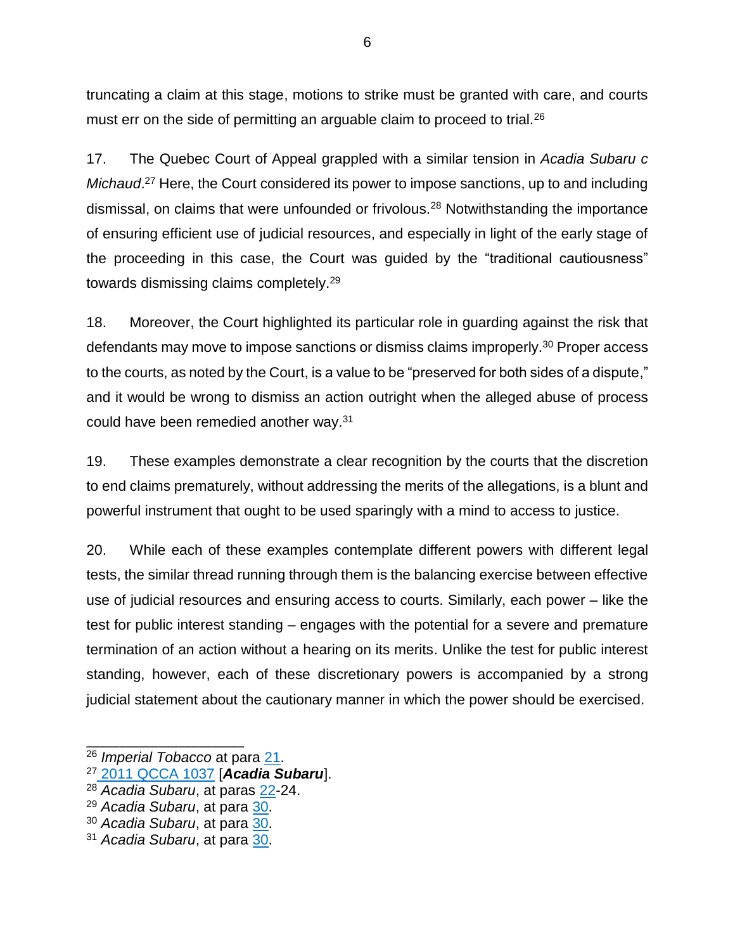truncating a claim at this stage, motions to strike must be granted with care, and courts must err on the side of permitting an arguable claim to proceed to trial.<sup>26</sup>

17. The Quebec Court of Appeal grappled with a similar tension in *Acadia Subaru c*  Michaud.<sup>27</sup> Here, the Court considered its power to impose sanctions, up to and including dismissal, on claims that were unfounded or frivolous.<sup>28</sup> Notwithstanding the importance of ensuring efficient use of judicial resources, and especially in light of the early stage of the proceeding in this case, the Court was guided by the "traditional cautiousness" towards dismissing claims completely.<sup>29</sup>

18. Moreover, the Court highlighted its particular role in guarding against the risk that defendants may move to impose sanctions or dismiss claims improperly.<sup>30</sup> Proper access to the courts, as noted by the Court, is a value to be "preserved for both sides of a dispute," and it would be wrong to dismiss an action outright when the alleged abuse of process could have been remedied another way.<sup>31</sup>

19. These examples demonstrate a clear recognition by the courts that the discretion to end claims prematurely, without addressing the merits of the allegations, is a blunt and powerful instrument that ought to be used sparingly with a mind to access to justice.

20. While each of these examples contemplate different powers with different legal tests, the similar thread running through them is the balancing exercise between effective use of judicial resources and ensuring access to courts. Similarly, each power – like the test for public interest standing – engages with the potential for a severe and premature termination of an action without a hearing on its merits. Unlike the test for public interest standing, however, each of these discretionary powers is accompanied by a strong judicial statement about the cautionary manner in which the power should be exercised.

<sup>26</sup> *Imperial Tobacco* at para [21.](https://canlii.ca/t/fmhcz#par21)

<sup>27</sup> [2011 QCCA 1037](https://canlii.ca/t/flr0s) [*Acadia Subaru*].

<sup>28</sup> *Acadia Subaru*, at paras [22-](https://canlii.ca/t/flr0s#par22)24.

<sup>29</sup> *Acadia Subaru*, at para [30.](https://canlii.ca/t/flr0s#par30)

<sup>30</sup> *Acadia Subaru*, at para [30.](https://canlii.ca/t/flr0s#par30)

<sup>31</sup> *Acadia Subaru*, at para [30.](https://canlii.ca/t/flr0s#par30)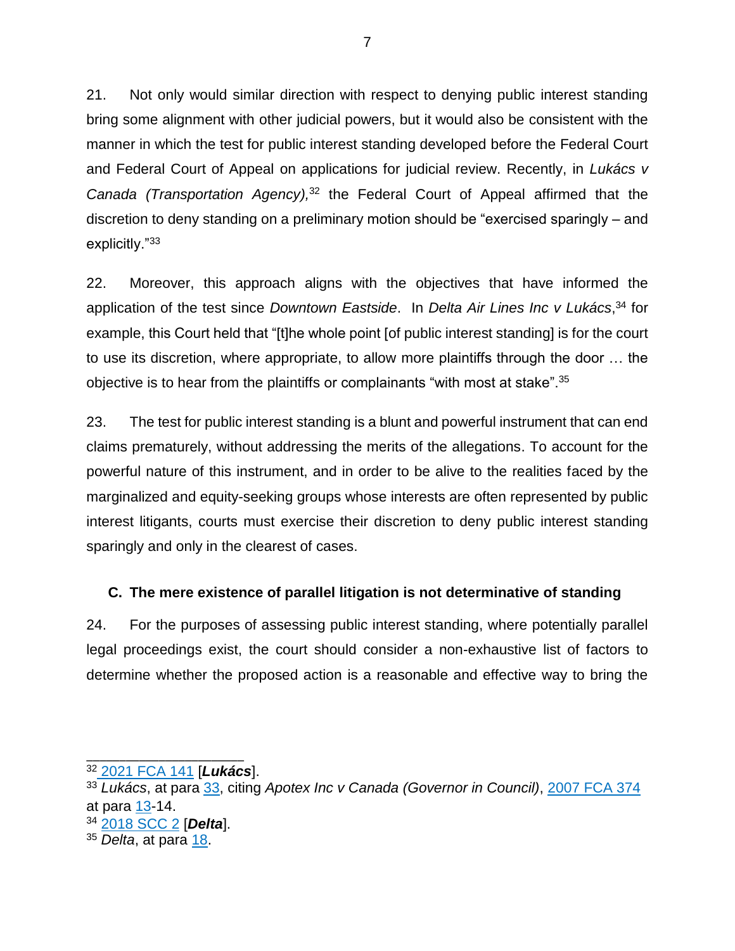21. Not only would similar direction with respect to denying public interest standing bring some alignment with other judicial powers, but it would also be consistent with the manner in which the test for public interest standing developed before the Federal Court and Federal Court of Appeal on applications for judicial review. Recently, in *Lukács v Canada (Transportation Agency),* <sup>32</sup> the Federal Court of Appeal affirmed that the discretion to deny standing on a preliminary motion should be "exercised sparingly – and explicitly."<sup>33</sup>

22. Moreover, this approach aligns with the objectives that have informed the application of the test since *Downtown Eastside*. In *Delta Air Lines Inc v Lukács*, <sup>34</sup> for example, this Court held that "[t]he whole point [of public interest standing] is for the court to use its discretion, where appropriate, to allow more plaintiffs through the door … the objective is to hear from the plaintiffs or complainants "with most at stake".<sup>35</sup>

23. The test for public interest standing is a blunt and powerful instrument that can end claims prematurely, without addressing the merits of the allegations. To account for the powerful nature of this instrument, and in order to be alive to the realities faced by the marginalized and equity-seeking groups whose interests are often represented by public interest litigants, courts must exercise their discretion to deny public interest standing sparingly and only in the clearest of cases.

## <span id="page-17-0"></span>**C. The mere existence of parallel litigation is not determinative of standing**

24. For the purposes of assessing public interest standing, where potentially parallel legal proceedings exist, the court should consider a non-exhaustive list of factors to determine whether the proposed action is a reasonable and effective way to bring the

\_\_\_\_\_\_\_\_\_\_\_\_\_\_\_\_\_\_\_\_\_\_\_\_ <sup>32</sup> [2021 FCA 141](https://www.canlii.org/en/ca/fca/doc/2021/2021fca141/2021fca141.html?resultIndex=1&framed=false) [*Lukács*].

<sup>33</sup> *Lukács*, at para [33,](https://canlii.ca/t/jgzjx#par33) citing *Apotex Inc v Canada (Governor in Council)*, [2007 FCA 374](https://www.canlii.org/en/ca/fca/doc/2007/2007fca374/2007fca374.html) at para [13-](https://canlii.ca/t/1v0hs#par13)14.

<sup>34</sup> [2018 SCC 2](https://www.canlii.org/en/ca/scc/doc/2018/2018scc2/2018scc2.html?autocompleteStr=2018%20scc%202&autocompletePos=1) [*Delta*].

<sup>35</sup> *Delta*, at para [18.](https://canlii.ca/t/hpv4d#par18)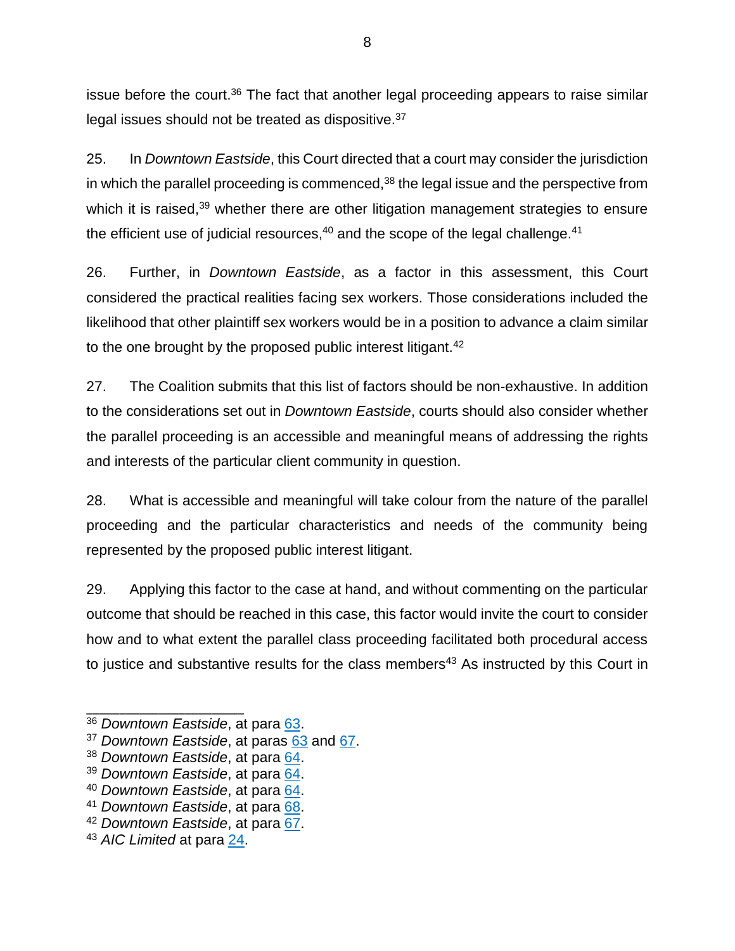issue before the court.<sup>36</sup> The fact that another legal proceeding appears to raise similar legal issues should not be treated as dispositive.<sup>37</sup>

25. In *Downtown Eastside*, this Court directed that a court may consider the jurisdiction in which the parallel proceeding is commenced, $38$  the legal issue and the perspective from which it is raised,<sup>39</sup> whether there are other litigation management strategies to ensure the efficient use of judicial resources, $40$  and the scope of the legal challenge. $41$ 

26. Further, in *Downtown Eastside*, as a factor in this assessment, this Court considered the practical realities facing sex workers. Those considerations included the likelihood that other plaintiff sex workers would be in a position to advance a claim similar to the one brought by the proposed public interest litigant.<sup>42</sup>

27. The Coalition submits that this list of factors should be non-exhaustive. In addition to the considerations set out in *Downtown Eastside*, courts should also consider whether the parallel proceeding is an accessible and meaningful means of addressing the rights and interests of the particular client community in question.

28. What is accessible and meaningful will take colour from the nature of the parallel proceeding and the particular characteristics and needs of the community being represented by the proposed public interest litigant.

29. Applying this factor to the case at hand, and without commenting on the particular outcome that should be reached in this case, this factor would invite the court to consider how and to what extent the parallel class proceeding facilitated both procedural access to justice and substantive results for the class members<sup>43</sup> As instructed by this Court in

<sup>36</sup> *Downtown Eastside*, at para [63.](https://canlii.ca/t/fss7s#par63)

<sup>37</sup> *Downtown Eastside*, at paras [63](https://canlii.ca/t/fss7s#par63) and [67.](https://canlii.ca/t/fss7s#par67)

<sup>38</sup> *Downtown Eastside*, at para [64.](https://canlii.ca/t/fss7s#par64)

<sup>39</sup> *Downtown Eastside*, at para [64.](https://canlii.ca/t/fss7s#par64)

<sup>40</sup> *Downtown Eastside*, at para [64.](https://canlii.ca/t/fss7s#par64)

<sup>41</sup> *Downtown Eastside*, at para [68.](https://canlii.ca/t/fss7s#par68)

<sup>42</sup> *Downtown Eastside*, at para [67.](https://canlii.ca/t/fss7s#par67)

<sup>43</sup> *AIC Limited* at para [24.](https://canlii.ca/t/g2bhl#par24)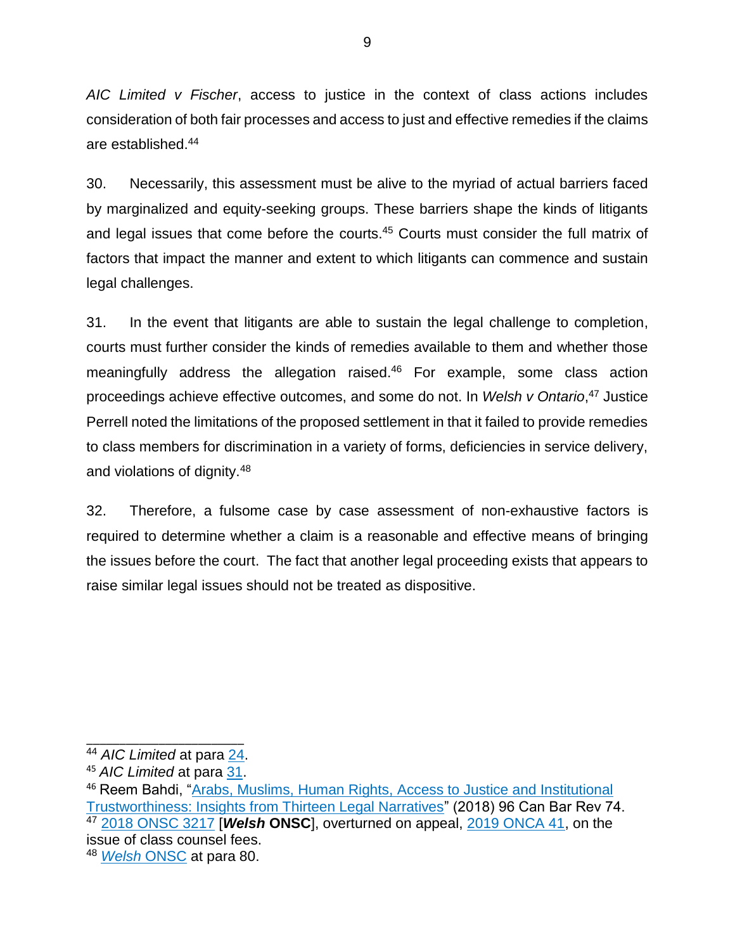*AIC Limited v Fischer*, access to justice in the context of class actions includes consideration of both fair processes and access to just and effective remedies if the claims are established.<sup>44</sup>

30. Necessarily, this assessment must be alive to the myriad of actual barriers faced by marginalized and equity-seeking groups. These barriers shape the kinds of litigants and legal issues that come before the courts.<sup>45</sup> Courts must consider the full matrix of factors that impact the manner and extent to which litigants can commence and sustain legal challenges.

31. In the event that litigants are able to sustain the legal challenge to completion, courts must further consider the kinds of remedies available to them and whether those meaningfully address the allegation raised. <sup>46</sup> For example, some class action proceedings achieve effective outcomes, and some do not. In *Welsh v Ontario*, <sup>47</sup> Justice Perrell noted the limitations of the proposed settlement in that it failed to provide remedies to class members for discrimination in a variety of forms, deficiencies in service delivery, and violations of dignity.<sup>48</sup>

32. Therefore, a fulsome case by case assessment of non-exhaustive factors is required to determine whether a claim is a reasonable and effective means of bringing the issues before the court. The fact that another legal proceeding exists that appears to raise similar legal issues should not be treated as dispositive.

\_\_\_\_\_\_\_\_\_\_\_\_\_\_\_\_\_\_\_\_\_\_\_\_ <sup>44</sup> *AIC Limited* at para [24.](https://canlii.ca/t/g2bhl#par24)

<sup>45</sup> *AIC Limited* at para [31.](https://canlii.ca/t/g2bhl#par31)

<sup>46</sup> Reem Bahdi, ["Arabs, Muslims, Human Rights, Access to Justice and Institutional](https://www.canlii.org/en/commentary/doc/2018CanLIIDocs132?zoupio-debug&framed=false#!fragment//(hash:(chunk:(anchorText:)  [Trustworthiness: Insights from Thirteen Legal Narratives"](https://www.canlii.org/en/commentary/doc/2018CanLIIDocs132?zoupio-debug&framed=false#!fragment//(hash:(chunk:(anchorText:) (2018) 96 Can Bar Rev 74. <sup>47</sup> [2018 ONSC 3217](https://www.canlii.org/en/on/onsc/doc/2018/2018onsc3217/2018onsc3217.html) [*Welsh* **ONSC**], overturned on appeal, [2019 ONCA 41,](https://www.canlii.org/en/on/onca/doc/2019/2019onca41/2019onca41.html) on the issue of class counsel fees. <sup>48</sup> *[Welsh](https://www.canlii.org/en/on/onsc/doc/2018/2018onsc3217/2018onsc3217.html)* ONSC at para 80.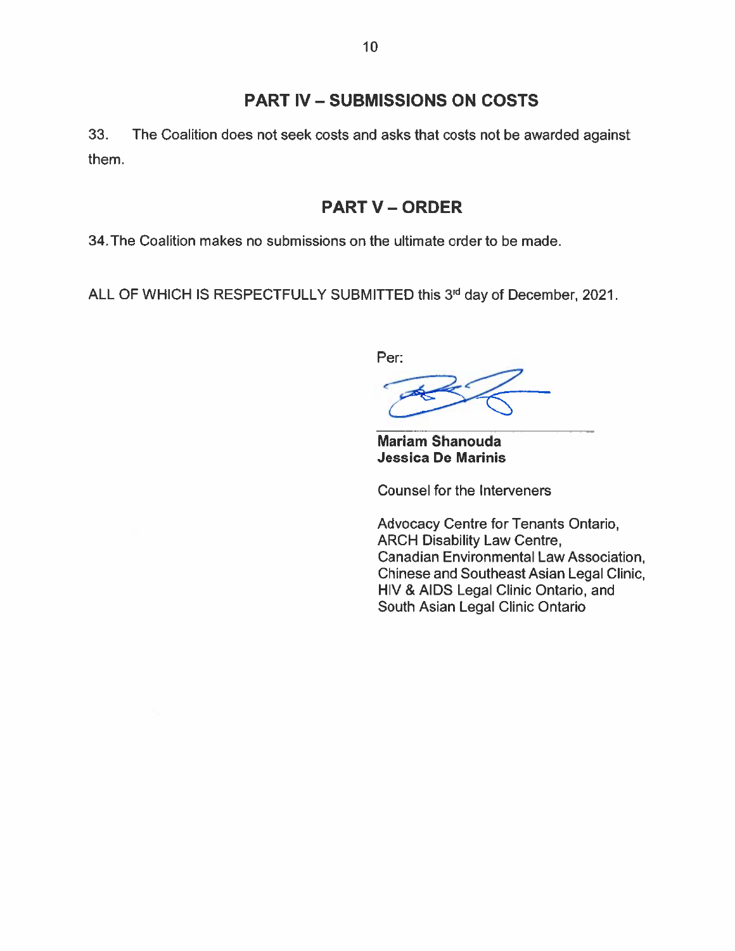## PART IV - SUBMISSIONS ON COSTS

<span id="page-20-0"></span>33. The Coalition does not seek costs and asks that costs not be awarded against them.

## **PART V - ORDER**

<span id="page-20-1"></span>34.The Coalition makes no submissions on the ultimate order to be made.

ALL OF WHICH IS RESPECTFULLY SUBMITTED this 3rd day of December, 2021.

Per:

Mariam Shanouda Jessica De Marinis

Counsel for the Interveners

Advocacy Centre for Tenants Ontario, ARCH Disability Law Centre, Canadian Environmental Law Association, Chinese and Southeast Asian Legal Clinic, HIV & AIDS Legal Clinic Ontario, and South Asian Legal Clinic Ontario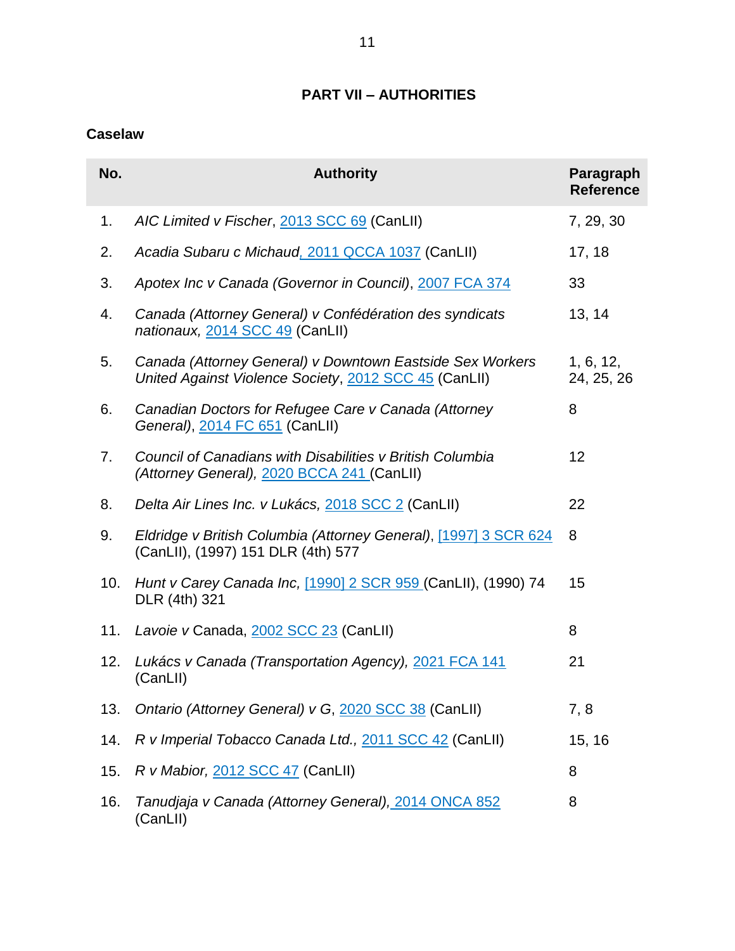## **PART VII – AUTHORITIES**

## <span id="page-21-1"></span><span id="page-21-0"></span>**Caselaw**

| No. | <b>Authority</b>                                                                                                   | Paragraph<br><b>Reference</b> |
|-----|--------------------------------------------------------------------------------------------------------------------|-------------------------------|
| 1.  | AIC Limited v Fischer, 2013 SCC 69 (CanLII)                                                                        | 7, 29, 30                     |
| 2.  | Acadia Subaru c Michaud, 2011 QCCA 1037 (CanLII)                                                                   | 17, 18                        |
| 3.  | Apotex Inc v Canada (Governor in Council), 2007 FCA 374                                                            | 33                            |
| 4.  | Canada (Attorney General) v Confédération des syndicats<br>nationaux, 2014 SCC 49 (CanLII)                         | 13, 14                        |
| 5.  | Canada (Attorney General) v Downtown Eastside Sex Workers<br>United Against Violence Society, 2012 SCC 45 (CanLII) | 1, 6, 12,<br>24, 25, 26       |
| 6.  | Canadian Doctors for Refugee Care v Canada (Attorney<br>General), 2014 FC 651 (CanLII)                             | 8                             |
| 7.  | Council of Canadians with Disabilities v British Columbia<br>(Attorney General), 2020 BCCA 241 (CanLII)            | 12                            |
| 8.  | Delta Air Lines Inc. v Lukács, 2018 SCC 2 (CanLII)                                                                 | 22                            |
| 9.  | Eldridge v British Columbia (Attorney General), [1997] 3 SCR 624<br>(CanLII), (1997) 151 DLR (4th) 577             | 8                             |
| 10. | Hunt v Carey Canada Inc, [1990] 2 SCR 959 (CanLII), (1990) 74<br>DLR (4th) 321                                     | 15                            |
| 11. | Lavoie v Canada, 2002 SCC 23 (CanLII)                                                                              | 8                             |
| 12. | Lukács v Canada (Transportation Agency), 2021 FCA 141<br>(CanLII)                                                  | 21                            |
| 13. | Ontario (Attorney General) v G, 2020 SCC 38 (CanLII)                                                               | 7, 8                          |
| 14. | R v Imperial Tobacco Canada Ltd., 2011 SCC 42 (CanLII)                                                             | 15, 16                        |
| 15. | R v Mabior, 2012 SCC 47 (CanLII)                                                                                   | 8                             |
| 16. | Tanudjaja v Canada (Attorney General), 2014 ONCA 852<br>(CanLII)                                                   | 8                             |